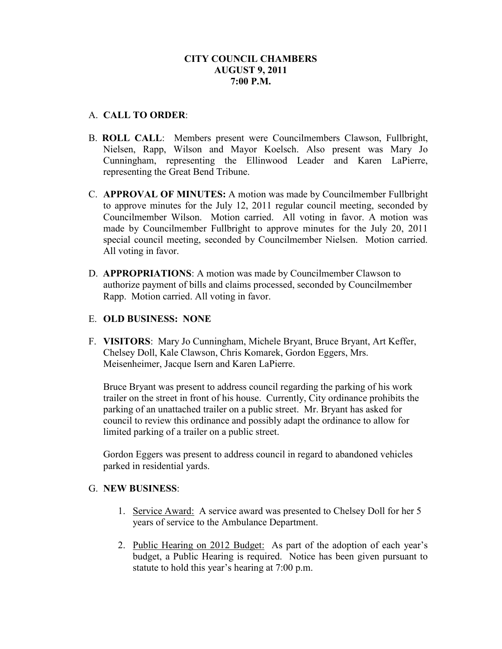# A. **CALL TO ORDER**:

- B. **ROLL CALL**: Members present were Councilmembers Clawson, Fullbright, Nielsen, Rapp, Wilson and Mayor Koelsch. Also present was Mary Jo Cunningham, representing the Ellinwood Leader and Karen LaPierre, representing the Great Bend Tribune.
- C. **APPROVAL OF MINUTES:** A motion was made by Councilmember Fullbright to approve minutes for the July 12, 2011 regular council meeting, seconded by Councilmember Wilson. Motion carried. All voting in favor. A motion was made by Councilmember Fullbright to approve minutes for the July 20, 2011 special council meeting, seconded by Councilmember Nielsen. Motion carried. All voting in favor.
- D. **APPROPRIATIONS**: A motion was made by Councilmember Clawson to authorize payment of bills and claims processed, seconded by Councilmember Rapp. Motion carried. All voting in favor.

## E. **OLD BUSINESS: NONE**

F. **VISITORS**: Mary Jo Cunningham, Michele Bryant, Bruce Bryant, Art Keffer, Chelsey Doll, Kale Clawson, Chris Komarek, Gordon Eggers, Mrs. Meisenheimer, Jacque Isern and Karen LaPierre.

Bruce Bryant was present to address council regarding the parking of his work trailer on the street in front of his house. Currently, City ordinance prohibits the parking of an unattached trailer on a public street. Mr. Bryant has asked for council to review this ordinance and possibly adapt the ordinance to allow for limited parking of a trailer on a public street.

Gordon Eggers was present to address council in regard to abandoned vehicles parked in residential yards.

## G. **NEW BUSINESS**:

- 1. Service Award: A service award was presented to Chelsey Doll for her 5 years of service to the Ambulance Department.
- 2. Public Hearing on 2012 Budget: As part of the adoption of each year's budget, a Public Hearing is required. Notice has been given pursuant to statute to hold this year's hearing at 7:00 p.m.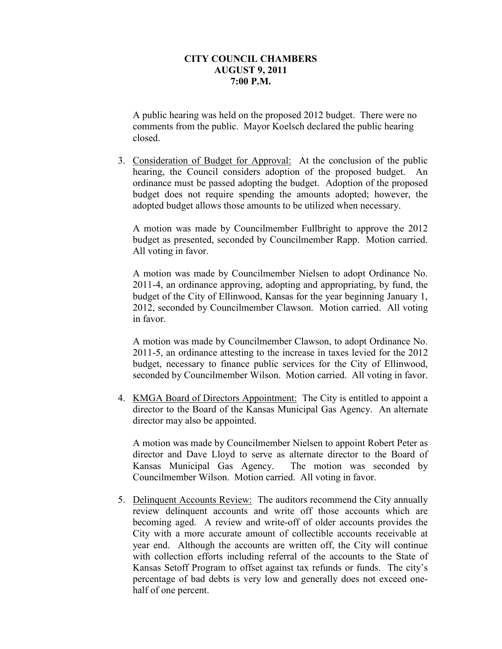A public hearing was held on the proposed 2012 budget. There were no comments from the public. Mayor Koelsch declared the public hearing closed.

3. Consideration of Budget for Approval: At the conclusion of the public hearing, the Council considers adoption of the proposed budget. An ordinance must be passed adopting the budget. Adoption of the proposed budget does not require spending the amounts adopted; however, the adopted budget allows those amounts to be utilized when necessary.

A motion was made by Councilmember Fullbright to approve the 2012 budget as presented, seconded by Councilmember Rapp. Motion carried. All voting in favor.

A motion was made by Councilmember Nielsen to adopt Ordinance No. 2011-4, an ordinance approving, adopting and appropriating, by fund, the budget of the City of Ellinwood, Kansas for the year beginning January 1, 2012, seconded by Councilmember Clawson. Motion carried. All voting in favor.

A motion was made by Councilmember Clawson, to adopt Ordinance No. 2011-5, an ordinance attesting to the increase in taxes levied for the 2012 budget, necessary to finance public services for the City of Ellinwood, seconded by Councilmember Wilson. Motion carried. All voting in favor.

4. KMGA Board of Directors Appointment: The City is entitled to appoint a director to the Board of the Kansas Municipal Gas Agency. An alternate director may also be appointed.

A motion was made by Councilmember Nielsen to appoint Robert Peter as director and Dave Lloyd to serve as alternate director to the Board of Kansas Municipal Gas Agency. The motion was seconded by Councilmember Wilson. Motion carried. All voting in favor.

5. Delinquent Accounts Review: The auditors recommend the City annually review delinquent accounts and write off those accounts which are becoming aged. A review and write-off of older accounts provides the City with a more accurate amount of collectible accounts receivable at year end. Although the accounts are written off, the City will continue with collection efforts including referral of the accounts to the State of Kansas Setoff Program to offset against tax refunds or funds. The city's percentage of bad debts is very low and generally does not exceed onehalf of one percent.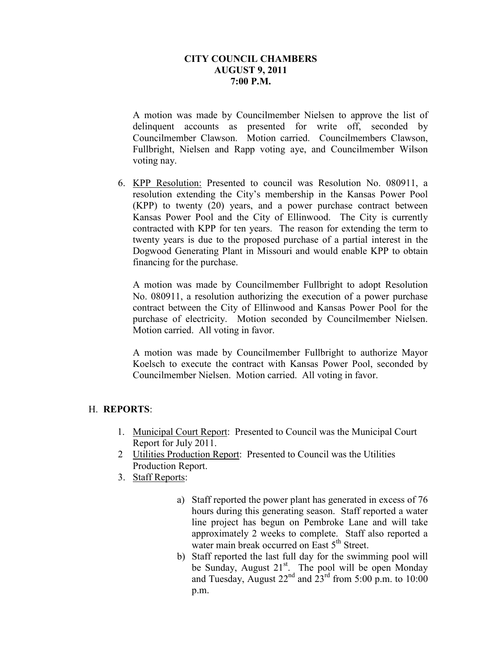A motion was made by Councilmember Nielsen to approve the list of delinquent accounts as presented for write off, seconded by Councilmember Clawson. Motion carried. Councilmembers Clawson, Fullbright, Nielsen and Rapp voting aye, and Councilmember Wilson voting nay.

6. KPP Resolution: Presented to council was Resolution No. 080911, a resolution extending the City's membership in the Kansas Power Pool (KPP) to twenty (20) years, and a power purchase contract between Kansas Power Pool and the City of Ellinwood. The City is currently contracted with KPP for ten years. The reason for extending the term to twenty years is due to the proposed purchase of a partial interest in the Dogwood Generating Plant in Missouri and would enable KPP to obtain financing for the purchase.

A motion was made by Councilmember Fullbright to adopt Resolution No. 080911, a resolution authorizing the execution of a power purchase contract between the City of Ellinwood and Kansas Power Pool for the purchase of electricity. Motion seconded by Councilmember Nielsen. Motion carried. All voting in favor.

A motion was made by Councilmember Fullbright to authorize Mayor Koelsch to execute the contract with Kansas Power Pool, seconded by Councilmember Nielsen. Motion carried. All voting in favor.

## H. **REPORTS**:

- 1. Municipal Court Report: Presented to Council was the Municipal Court Report for July 2011.
- 2 Utilities Production Report: Presented to Council was the Utilities Production Report.
- 3. Staff Reports:
	- a) Staff reported the power plant has generated in excess of 76 hours during this generating season. Staff reported a water line project has begun on Pembroke Lane and will take approximately 2 weeks to complete. Staff also reported a water main break occurred on East 5<sup>th</sup> Street.
	- b) Staff reported the last full day for the swimming pool will be Sunday, August 21<sup>st</sup>. The pool will be open Monday and Tuesday, August  $22<sup>nd</sup>$  and  $23<sup>rd</sup>$  from 5:00 p.m. to 10:00 p.m.